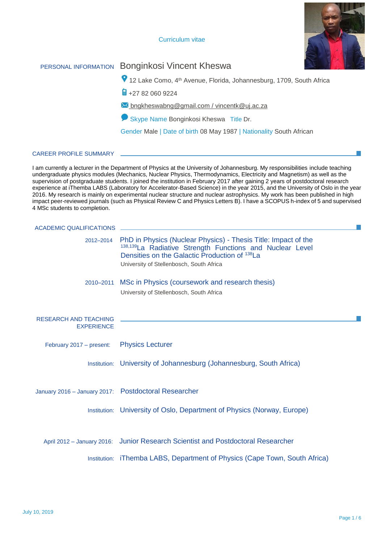# Curriculum vitae



# PERSONAL INFORMATION Bonginkosi Vincent Kheswa

12 Lake Como, 4th Avenue, Florida, Johannesburg, 1709, South Africa

 $\frac{1}{2}$  +27 82 060 9224

**M** bngkheswabng@gmail.com / vincentk@uj.ac.za

**Skype Name Bonginkosi Kheswa** Title Dr.

Gender Male | Date of birth 08 May 1987 | Nationality South African

## CAREER PROFILE SUMMARY

 I am currently a lecturer in the Department of Physics at the University of Johannesburg. My responsibilities include teaching undergraduate physics modules (Mechanics, Nuclear Physics, Thermodynamics, Electricity and Magnetism) as well as the supervision of postgraduate students. I joined the institution in February 2017 after gaining 2 years of postdoctoral research experience at iThemba LABS (Laboratory for Accelerator-Based Science) in the year 2015, and the University of Oslo in the year 2016. My research is mainly on experimental nuclear structure and nuclear astrophysics. My work has been published in high impact peer-reviewed journals (such as Physical Review C and Physics Letters B). I have a SCOPUS h-index of 5 and supervised 4 MSc students to completion.

| <b>ACADEMIC QUALIFICATIONS</b>                       |                                                                                                                                                                                                                          |
|------------------------------------------------------|--------------------------------------------------------------------------------------------------------------------------------------------------------------------------------------------------------------------------|
| 2012-2014                                            | PhD in Physics (Nuclear Physics) - Thesis Title: Impact of the<br>138,139 La Radiative Strength Functions and Nuclear Level<br>Densities on the Galactic Production of 138La<br>University of Stellenbosch, South Africa |
| 2010-2011                                            | MSc in Physics (coursework and research thesis)<br>University of Stellenbosch, South Africa                                                                                                                              |
| <b>RESEARCH AND TEACHING</b><br><b>EXPERIENCE</b>    |                                                                                                                                                                                                                          |
| February 2017 - present:                             | <b>Physics Lecturer</b>                                                                                                                                                                                                  |
|                                                      | Institution: University of Johannesburg (Johannesburg, South Africa)                                                                                                                                                     |
| January 2016 - January 2017: Postdoctoral Researcher |                                                                                                                                                                                                                          |
|                                                      | Institution: University of Oslo, Department of Physics (Norway, Europe)                                                                                                                                                  |
|                                                      | April 2012 - January 2016: Junior Research Scientist and Postdoctoral Researcher                                                                                                                                         |
|                                                      | Institution: iThemba LABS, Department of Physics (Cape Town, South Africa)                                                                                                                                               |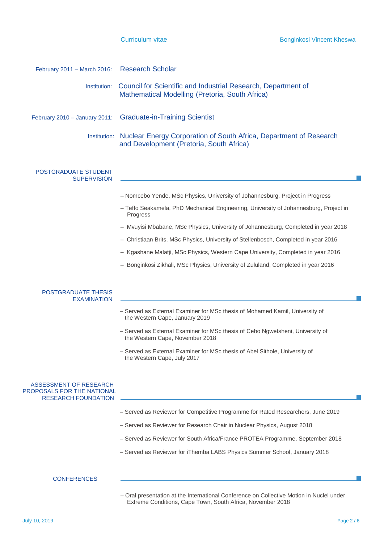|  | Curriculum vitae |
|--|------------------|

| February 2011 - March 2016:                                                        | <b>Research Scholar</b>                                                                                           |  |  |  |  |  |
|------------------------------------------------------------------------------------|-------------------------------------------------------------------------------------------------------------------|--|--|--|--|--|
| Institution:                                                                       | Council for Scientific and Industrial Research, Department of<br>Mathematical Modelling (Pretoria, South Africa)  |  |  |  |  |  |
| February 2010 - January 2011:                                                      | <b>Graduate-in-Training Scientist</b>                                                                             |  |  |  |  |  |
| Institution:                                                                       | Nuclear Energy Corporation of South Africa, Department of Research<br>and Development (Pretoria, South Africa)    |  |  |  |  |  |
| POSTGRADUATE STUDENT<br><b>SUPERVISION</b>                                         |                                                                                                                   |  |  |  |  |  |
|                                                                                    | - Nomcebo Yende, MSc Physics, University of Johannesburg, Project in Progress                                     |  |  |  |  |  |
|                                                                                    | - Teffo Seakamela, PhD Mechanical Engineering, University of Johannesburg, Project in<br>Progress                 |  |  |  |  |  |
|                                                                                    | - Mvuyisi Mbabane, MSc Physics, University of Johannesburg, Completed in year 2018                                |  |  |  |  |  |
|                                                                                    | - Christiaan Brits, MSc Physics, University of Stellenbosch, Completed in year 2016                               |  |  |  |  |  |
|                                                                                    | - Kgashane Malatji, MSc Physics, Western Cape University, Completed in year 2016                                  |  |  |  |  |  |
|                                                                                    | - Bonginkosi Zikhali, MSc Physics, University of Zululand, Completed in year 2016                                 |  |  |  |  |  |
| POSTGRADUATE THESIS<br><b>EXAMINATION</b>                                          | - Served as External Examiner for MSc thesis of Mohamed Kamil, University of<br>the Western Cape, January 2019    |  |  |  |  |  |
|                                                                                    | - Served as External Examiner for MSc thesis of Cebo Ngwetsheni, University of<br>the Western Cape, November 2018 |  |  |  |  |  |
|                                                                                    | Served as External Examiner for MSc thesis of Abel Sithole, University of<br>the Western Cape, July 2017          |  |  |  |  |  |
| ASSESSMENT OF RESEARCH<br>PROPOSALS FOR THE NATIONAL<br><b>RESEARCH FOUNDATION</b> |                                                                                                                   |  |  |  |  |  |
|                                                                                    | - Served as Reviewer for Competitive Programme for Rated Researchers, June 2019                                   |  |  |  |  |  |
|                                                                                    | - Served as Reviewer for Research Chair in Nuclear Physics, August 2018                                           |  |  |  |  |  |
|                                                                                    | - Served as Reviewer for South Africa/France PROTEA Programme, September 2018                                     |  |  |  |  |  |
|                                                                                    | - Served as Reviewer for iThemba LABS Physics Summer School, January 2018                                         |  |  |  |  |  |
| <b>CONFERENCES</b>                                                                 |                                                                                                                   |  |  |  |  |  |

– Oral presentation at the International Conference on Collective Motion in Nuclei under Extreme Conditions, Cape Town, South Africa, November 2018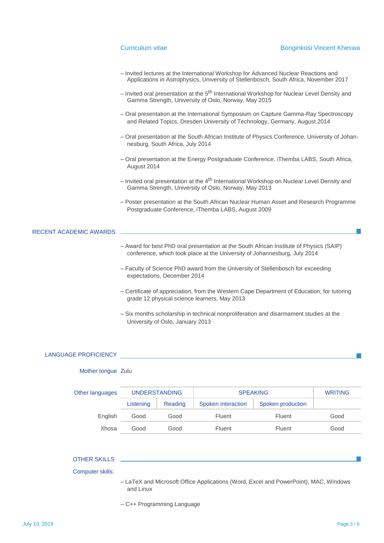# Curriculum vitae **Bonginkosi** Vincent Kheswa

- Invited lectures at the International Workshop for Advanced Nuclear Reactions and Applications in Astrophysics, University of Stellenbosch, South Africa, November 2017
- Invited oral presentation at the 5<sup>th</sup> International Workshop for Nuclear Level Density and Gamma Strength, University of Oslo, Norway, May 2015
- Oral presentation at the International Symposium on Capture Gamma-Ray Spectroscopy and Related Topics, Dresden University of Technology, Germany, August 2014
- Oral presentation at the South African Institute of Physics Conference, University of Johannesburg, South Africa, July 2014
- Oral presentation at the Energy Postgraduate Conference, iThemba LABS, South Africa, August 2014
- $-$  Invited oral presentation at the  $4<sup>th</sup>$  International Workshop on Nuclear Level Density and Gamma Strength, University of Oslo, Norway, May 2013
- Poster presentation at the South African Nuclear Human Asset and Research Programme Postgraduate Conference, iThemba LABS, August 2009

### RECENT ACADEMIC AWARDS

- Award for best PhD oral presentation at the South African Institute of Physics (SAIP) conference, which took place at the University of Johannesburg, July 2014
- Faculty of Science PhD award from the University of Stellenbosch for exceeding expectations, December 2014
- Certificate of appreciation, from the Western Cape Department of Education, for tutoring grade 12 physical science learners, May 2013
- Six months scholarship in technical nonproliferation and disarmament studies at the University of Oslo, January 2013

### LANGUAGE PROFICIENCY

### Mother tongue Zulu

| Other languages | <b>UNDERSTANDING</b> |         | <b>SPEAKING</b>    |                   | <b>WRITING</b> |
|-----------------|----------------------|---------|--------------------|-------------------|----------------|
|                 | Listening            | Reading | Spoken interaction | Spoken production |                |
| English         | Good                 | Good    | Fluent             | Fluent            | Good           |
| Xhosa           | Good                 | Good    | Fluent             | Fluent            | Good           |

#### OTHER SKILLS

#### Computer skills:

- LaTeX and Microsoft Office Applications (Word, Excel and PowerPoint), MAC, Windows and Linux
- C++ Programming Language

 $\mathcal{L}_{\mathcal{A}}$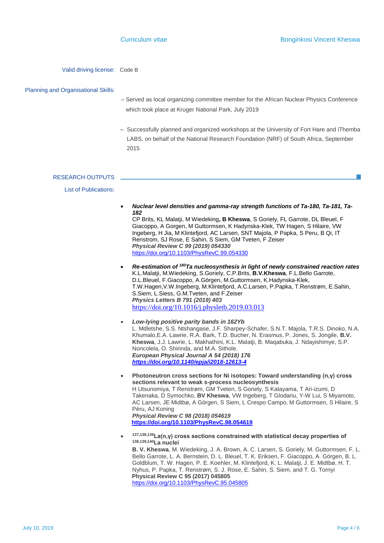Valid driving license: Code B

### Planning and Organisational Skills:

- Served as local organizing committee member for the African Nuclear Physics Conference which took place at Kruger National Park, July 2019
- Successfully planned and organized workshops at the University of Fort Hare and iThemba LABS, on behalf of the National Research Foundation (NRF) of South Africa, September 2015

### RESEARCH OUTPUTS

### List of Publications:

- *[Nuclear level densities and gamma-ray strength functions of Ta-180, Ta-181, Ta-](http://scholar.google.com/scholar?cluster=1542034487353177639&hl=en&oi=scholarr)[182](http://scholar.google.com/scholar?cluster=1542034487353177639&hl=en&oi=scholarr)* CP Brits, KL Malatji, M Wiedeking**, B Kheswa**, S Goriely, FL Garrote, DL Bleuel, F Giacoppo, A Gorgen, M Guttormsen, K Hadynska-Klek, TW Hagen, S Hilaire, VW Ingeberg, H Jia, M Klintefjord, AC Larsen, SNT Majola, P Papka, S Peru, B Qi, IT Renstrom, SJ Rose, E Sahin, S Siem, GM Tveten, F Zeiser *Physical Review C 99 (2019) 054330* <https://doi.org/10.1103/PhysRevC.99.054330>
- *Re-estimation of <sup>180</sup>[Ta nucleosynthesis in light of newly constrained reaction rates](https://www.sciencedirect.com/science/article/pii/S0370269319301674)* K.L.Malatji, M.Wiedeking, [S.Goriely,](https://www.sciencedirect.com/science/article/pii/S0370269319301674#!) C.P.Brits, **[B.V.Kheswa](https://www.sciencedirect.com/science/article/pii/S0370269319301674#!)**, [F.L.Bello Garrote,](https://www.sciencedirect.com/science/article/pii/S0370269319301674#!) [D.L.Bleuel,](https://www.sciencedirect.com/science/article/pii/S0370269319301674#!) [F.Giacoppo,](https://www.sciencedirect.com/science/article/pii/S0370269319301674#!) [A.Görgen,](https://www.sciencedirect.com/science/article/pii/S0370269319301674#!) [M.Guttormsen,](https://www.sciencedirect.com/science/article/pii/S0370269319301674#!) [K.Hadynska-Klek,](https://www.sciencedirect.com/science/article/pii/S0370269319301674#!) [T.W.Hagen,V.W.Ingeberg,](https://www.sciencedirect.com/science/article/pii/S0370269319301674#!) [M.Klintefjord,](https://www.sciencedirect.com/science/article/pii/S0370269319301674#!) [A.C.Larsen,](https://www.sciencedirect.com/science/article/pii/S0370269319301674#!) [P.Papka,](https://www.sciencedirect.com/science/article/pii/S0370269319301674#!) [T.Renstrøm,](https://www.sciencedirect.com/science/article/pii/S0370269319301674#!) [E.Sahin,](https://www.sciencedirect.com/science/article/pii/S0370269319301674#!) [S.Siem,](https://www.sciencedirect.com/science/article/pii/S0370269319301674#!) [L.Siess,](https://www.sciencedirect.com/science/article/pii/S0370269319301674#!) G.M.Tveten, and F.Zeiser *Physics Letters B 791 (2019) 403*  <https://doi.org/10.1016/j.physletb.2019.03.013>
- *Low-lying positive parity bands in 162Yb* L. Mdletshe, S.S. Ntshangase, J.F. Sharpey-Schafer, S.N.T. Majola, T.R.S. Dinoko, N.A. Khumalo,E.A. Lawrie, R.A. Bark, T.D. Bucher, N. Erasmus, P. Jones, S. Jongile, **B.V. Kheswa**, J.J. Lawrie, L. Makhathini, K.L. Malatji, B. Maqabuka, J. Ndayishimye, S.P. Noncolela, O. Shirinda, and M.A. Sithole. *European Physical Journal A 54 (2018) 176 <https://doi.org/10.1140/epja/i2018-12613-4>*
- **Photoneutron cross sections for Ni isotopes: Toward understanding (n,γ) cross sections relevant to weak s-process nucleosynthesis** H Utsunomiya, T Renstrøm, GM Tveten, S Goriely, S Katayama, T Ari-izumi, D Takenaka, D Symochko, **BV Kheswa**, VW Ingeberg, T Glodariu, Y-W Lui, S Miyamoto, AC Larsen, JE Midtbø, A Görgen, S Siem, L Crespo Campo, M Guttormsen, S Hilaire, S Péru, AJ Koning  *Physical Review C 98 (2018) 054619* **<https://doi.org/10.1103/PhysRevC.98.054619>**
- $\bullet$ **137,138,139La(n,γ) cross sections constrained with statistical decay properties of 138,139,140La nuclei B. V. Kheswa**, M. Wiedeking, J. A. Brown, A. C. Larsen, S. Goriely, M. Guttormsen, F. L. Bello Garrote, L. A. Bernstein, D. L. Bleuel, T. K. Eriksen, F. Giacoppo, A. Görgen, B. L. Goldblum, T. W. Hagen, P. E. Koehler, M. Klintefjord, K. L. Malatji, J. E. Midtbø, H. T. Nyhus, P. Papka, T. Renstrøm, S. J. Rose, E. Sahin, S. Siem, and T. G. Tornyi  **Physical Review C 95 (2017) 045805** <https://doi.org/10.1103/PhysRevC.95.045805>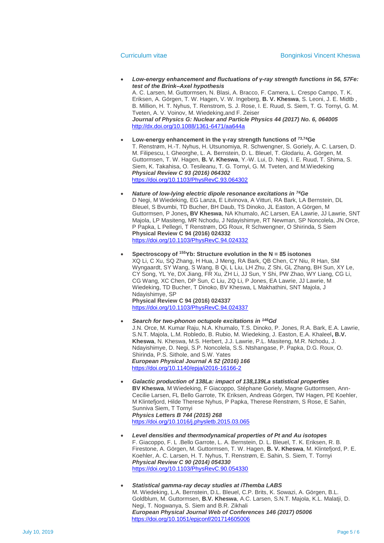- *Low-energy enhancement and fluctuations of γ-ray strength functions in 56, 57Fe: test of the Brink–Axel hypothesis* A. C. Larsen, M. Guttormsen, N. Blasi, A. Bracco, F. Camera, L. Crespo Campo, T. K. Eriksen, A. Görgen, T. W. Hagen, V. W. Ingeberg, **B. V. Kheswa**, S. Leoni, J. E. Midtb , B. Million, H. T. Nyhus, T. Renstrom, S. J. Rose, I. E. Ruud, S. Siem, T. G. Tornyi, G. M. Tveten, A. V. Voinov, M. Wiedeking,and F. Zeiser *Journal of Physics G: Nuclear and Particle Physics 44 (2017) No. 6, 064005* <http://dx.doi.org/10.1088/1361-6471/aa644a>
- **Low-energy enhancement in the γ-ray strength functions of 73,74Ge** T. Renstrøm, H.-T. Nyhus, H. Utsunomiya, R. Schwengner, S. Goriely, A. C. Larsen, D. M. Filipescu, I. Gheorghe, L. A. Bernstein, D. L. Bleuel, T. Glodariu, A. Görgen, M. Guttormsen, T. W. Hagen, **B. V. Kheswa**, Y.-W. Lui, D. Negi, I. E. Ruud, T. Shima, S. Siem, K. Takahisa, O. Tesileanu, T. G. Tornyi, G. M. Tveten, and M.Wiedeking  *Physical Review C 93 (2016) 064302* <https://doi.org/10.1103/PhysRevC.93.064302>
- *Nature of low-lying electric dipole resonance excitations in <sup>74</sup>Ge* D Negi, M Wiedeking, EG Lanza, E Litvinova, A Vitturi, RA Bark, LA Bernstein, DL Bleuel, S Bvumbi, TD Bucher, BH Daub, TS Dinoko, JL Easton, A Görgen, M Guttormsen, P Jones**, BV Kheswa**, NA Khumalo, AC Larsen, EA Lawrie, JJ Lawrie, SNT Majola, LP Masiteng, MR Nchodu, J Ndayishimye, RT Newman, SP Noncolela, JN Orce, P Papka, L Pellegri, T Renstrøm, DG Roux, R Schwengner, O Shirinda, S Siem **Physical Review C 94 (2016) 024332**  <https://doi.org/10.1103/PhysRevC.94.024332>
- **Spectroscopy of <sup>155</sup>Yb: Structure evolution in the N = 85 isotones** XQ Li, C Xu, SQ Zhang, H Hua, J Meng, RA Bark, QB Chen, CY Niu, R Han, SM Wyngaardt, SY Wang, S Wang, B Qi, L Liu, LH Zhu, Z Shi, GL Zhang, BH Sun, XY Le, CY Song, YL Ye, DX Jiang, FR Xu, ZH Li, JJ Sun, Y Shi, PW Zhao, WY Liang, CG Li, CG Wang, XC Chen, DP Sun, C Liu, ZQ Li, P Jones, EA Lawrie, JJ Lawrie, M Wiedeking, TD Bucher, T Dinoko, BV Kheswa, L Makhathini, SNT Majola, J Ndayishimye, SP **Physical Review C 94 (2016) 024337**  <https://doi.org/10.1103/PhysRevC.94.024337>
- *Search for two-phonon octupole excitations in <sup>146</sup>Gd* J.N. Orce, M. Kumar Raju, N.A. Khumalo, T.S. Dinoko, P. Jones, R.A. Bark, E.A. Lawrie, S.N.T. Majola, L.M. Robledo, B. Rubio, M. Wiedeking, J. Easton, E.A. Khaleel**, B.V. Kheswa**, N. Kheswa, M.S. Herbert, J.J. Lawrie, P.L. Masiteng, M.R. Nchodu, J. Ndayishimye, D. Negi, S.P. Noncolela, S.S. Ntshangase, P. Papka, D.G. Roux, O. Shirinda, P.S. Sithole, and S.W. Yates  *European Physical Journal A 52 (2016) 166* [https://doi.org/10.1140/epja/i2016-16166-2](https://10.0.4.116/epja/i2016-16166-2)
- *Galactic production of 138La: impact of 138,139La statistical properties* **BV Kheswa**, M Wiedeking, F Giacoppo, Stéphane Goriely, Magne Guttormsen, Ann-Cecilie Larsen, FL Bello Garrote, TK Eriksen, Andreas Görgen, TW Hagen, PE Koehler, M Klintefjord, Hilde Therese Nyhus, P Papka, Therese Renstrøm, S Rose, E Sahin, Sunniva Siem, T Tornyi *Physics Letters B 744 (2015) 268* <https://doi.org/10.1016/j.physletb.2015.03.065>
- *Level densities and thermodynamical properties of Pt and Au isotopes* F. Giacoppo, F. L .Bello Garrote, L. A. Bernstein, D. L. Bleuel, T. K. Eriksen, R. B. Firestone, A. Görgen, M. Guttormsen, T. W. Hagen, **B. V. Kheswa**, M. Klintefjord, P. E. Koehler, A. C. Larsen, H. T. Nyhus, T. Renstrøm, E. Sahin, S. Siem, T. Tornyi *Physical Review C 90 (2014) 054330* <https://doi.org/10.1103/PhysRevC.90.054330>
- *Statistical gamma-ray decay studies at iThemba LABS* M. Wiedeking, L.A. Bernstein, D.L. Bleuel, C.P. Brits, K. Sowazi, A. Görgen, B.L. Goldblum, M. Guttormsen, **B.V. Kheswa**, A.C. Larsen, S.N.T. Majola, K.L. Malatji, D. Negi, T. Nogwanya, S. Siem and B.R. Zikhali *European Physical Journal Web of Conferences 146 (2017) 05006* <https://doi.org/10.1051/epjconf/201714605006>